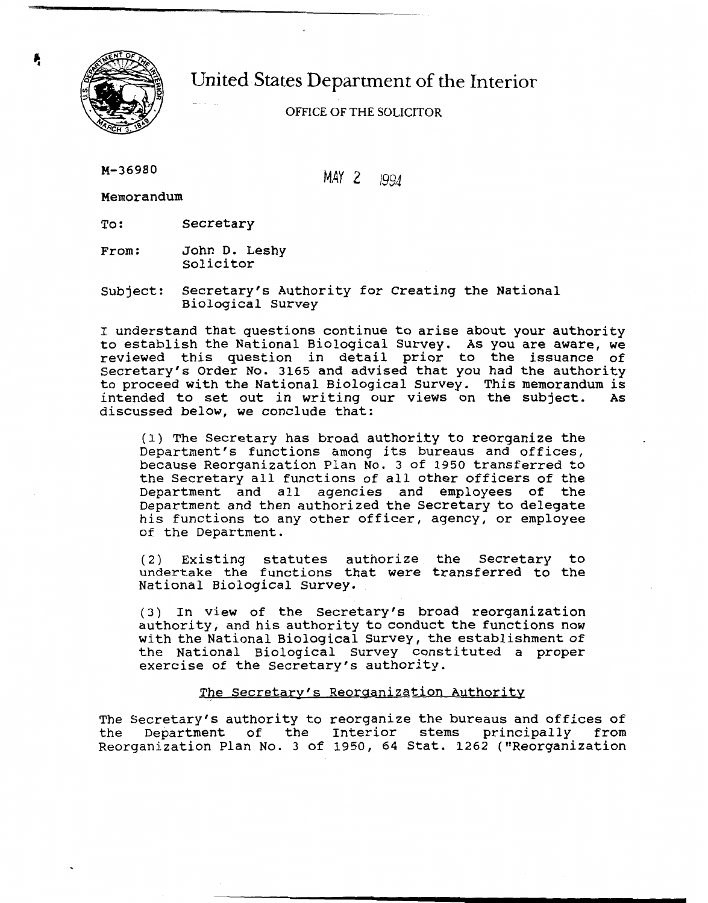

# United States Department of the Interior  $\ddotsc$

# OFFICE OF THE SOLICITOR

M-36980

MAY **2** 1994

Memorandum

To: Secretary

From: John D. Leshy solicitor

Subject: Secretary's Authority for Creating the National Biological Survey

I understand that questions continue to arise about your authority to establish the National Biological Survey. As you are aware, we reviewed this question in detail prior to the issuance of Secretary's Order No. 3165 and advised that you had the authority to proceed with the National Biological Survey. This memorandum is intended to set out in writing our views on the subject. As discussed below, we conclude that:

(1) The Secretary has broad authority to reorganize the Department's functions among its bureaus and offices, because Reorganization Plan No. 3 of 1950 transferred to the Secretary all functions of all other officers of the Department and all agencies and employees of the Department and then authorized the Secretary to delegate his functions to any other officer, agency, or employee of the Department.

(2) Existing statutes authorize the Secretary to undertake the functions that were transferred to the National Biological Survey.

(3) In view of the Secretary's broad reorganization authority, and his authority to conduct the functions now with the National Biological Survey, the establishment of the National Biological Survey constituted a proper exercise of the Secretary's authority.

### The Secretary's Reorganization Authority

The Secretary's authority to reorganize the bureaus and offices of the Department of the Interior stems principally from Reorganization Plan No. 3 of 1950, 64 Stat. 1262 ("Reorganization

**e**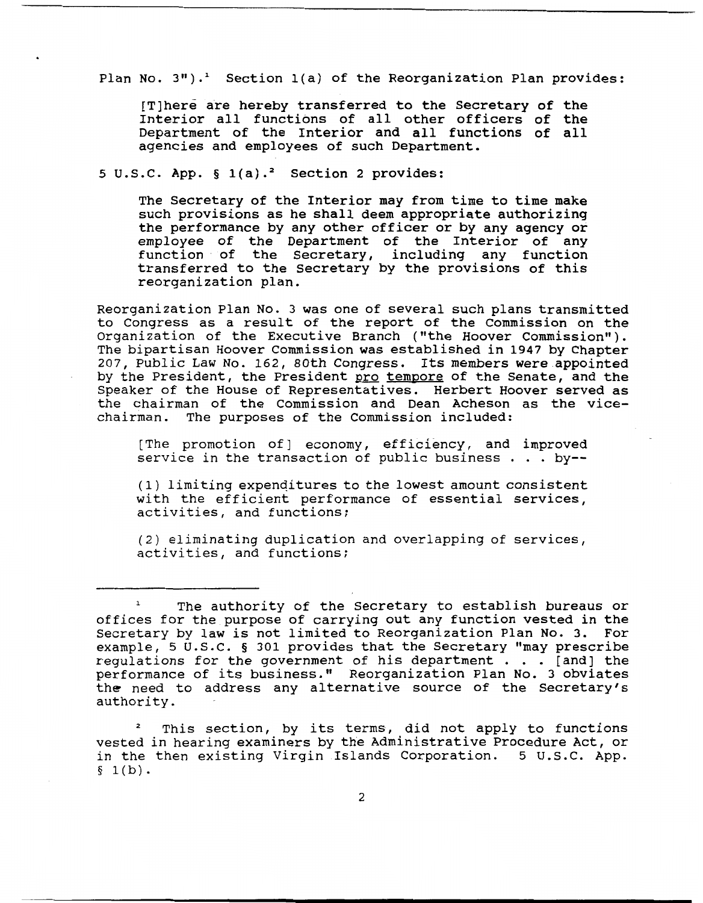Plan No. **3").'** Section l(a) of the Reorganization Plan provides:

[Tlhere are hereby transferred to the Secretary of the Interior all functions of all other officers of the Department of the Interior and all functions of all agencies and employees of such Department.

## **5** U.S.C. App. **5** l(a).2 Section 2 provides:

The Secretary of the Interior may from time to time make such provisions as he shall deem appropriate authorizing the performance by any other officer or by any agency or employee of the Department of the Interior of any function of the Secretary, including any function transferred to the Secretary by the provisions of this reorganization plan.

Reorganization Plan No. 3 was one of several such plans transmitted to Congress as a result of the report of the Commission on the Organization of the Executive Branch ("the Hoover Commission").<br>The bipartisan Hoover Commission was established in 1947 by Chapter 207, Public Law No. 162, 80th Congress. Its members were appointed by the President, the President pro tempore of the Senate, and the Speaker of the House of Representatives. Herbert Hoover served as the chairman of the Commission and Dean Acheson as the vicechairman. The purposes of the Commission included:

[The promotion of] economy, efficiency, and improved service in the transaction of public business . . . by--

(1) limiting expenditures to the lowest amount consistent with the efficient performance of essential services, activities, and functions;

(2) eliminating duplication and overlapping of services, activities, and functions;

<sup>&</sup>lt;sup>1</sup> The authority of the Secretary to establish bureaus or offices for the purpose of carrying out any function vested in the Secretary by law is not limited to Reorganization Plan No. 3. For example, 5 U.S.C. **5** 301 provides that the Secretary "may prescribe requlations for the government of his department  $\ldots$  [and] the performance of its business." Reorganization Plan No. 3 obviates the need to address any alternative source of the Secretary's authority.

This section, by its terms, did not apply to functions vested in hearing examiners by the Administrative Procedure Act, or in the then existing Virgin Islands Corporation. **5** U.S.C. App.  $§ 1(b).$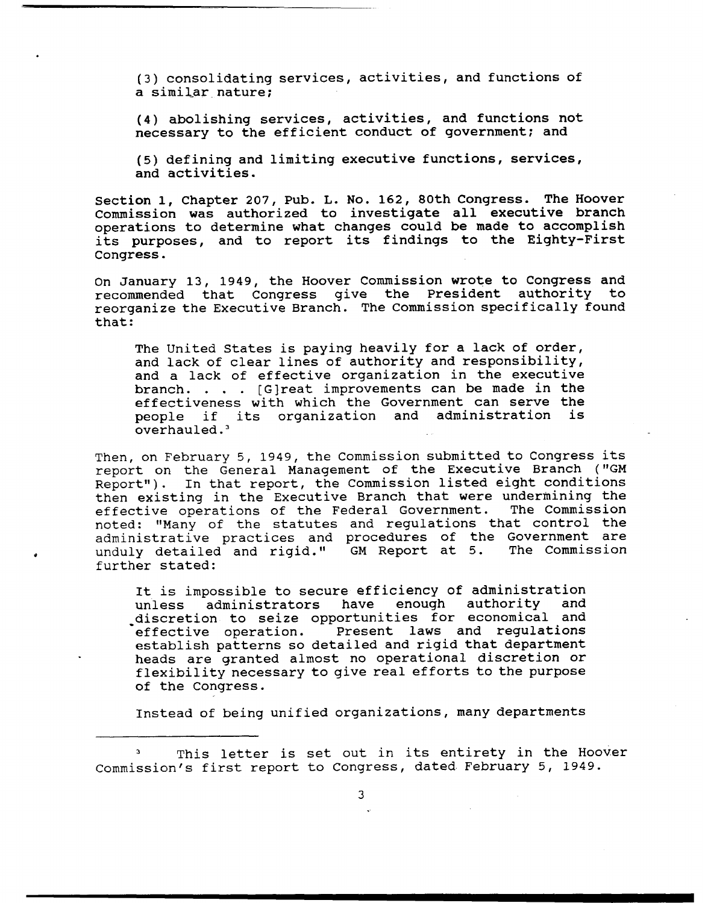(3) consolidating services, activities, and functions of a simiLar nature;

**(4)** abolishing services, activities, and functions not necessary to the efficient conduct of government; and

**(5)** defining and limiting executive functions, services, and activities.

Section 1, Chapter 207, Pub. L. No. 162, 80th Congress. The Hoover Commission was authorized to investigate all executive branch operations to determine what changes could be made to accomplish its purposes, and to report its findings to the Eighty-First Congress.

On January 13, 1949, the Hoover Commission wrote to Congress and recommended that Congress give the President authority to reorganize the Executive Branch. The Commission specifically found that:

The United States is paying heavily for a lack of order, and lack of clear lines of authority and responsibility, and a lack of effective organization in the executive branch. . . . [G]reat improvements can be made in the effectiveness with which the Government can serve the people if its organization and administration is overhauled.'

Then, on February 5, 1949, the Commission submitted to Congress its report on the General Management of the Executive Branch ("GM Report"). In that report, the Commission listed eight conditions then existing in the Executive Branch that were undermining the effective operations of the Federal Government. The Commission effective operations of the Federal Government. noted: "Many of the statutes and regulations that control the administrative practices and procedures of the Government are<br>unduly detailed and rigid." GM Report at 5. The Commission unduly detailed and rigid." GM Report at 5. further stated:

It is impossible to secure efficiency of administration<br>unless administrators have enough authority and administrators discretion to seize opportunities for economical and<br>effective operation. Present laws and regulations Present laws and regulations establish patterns so detailed and rigid that department heads are granted almost no operational discretion or flexibility necessary to give real efforts to the purpose of the Congress.

Instead of being unified organizations, many departments

**<sup>3</sup>**This letter is set out in its entirety in the Hoover Commission's first report to Congress, dated. February 5, 1949.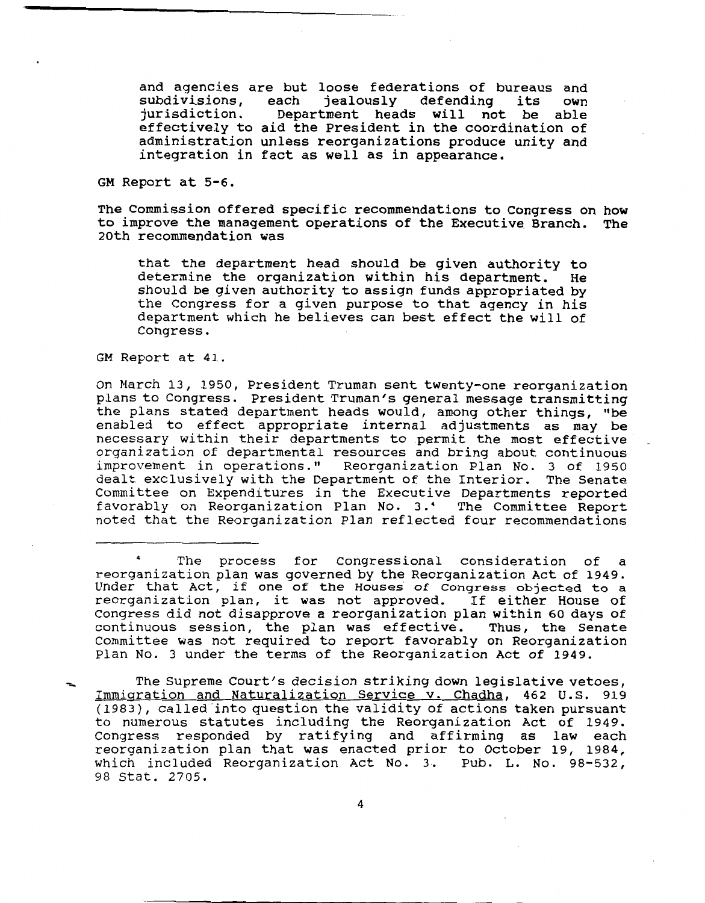and agencies are but loose federations of bureaus and na agencies are bac roose reacracions or sureaus and<br>ubdivisions, each jealously defending its own subdivisions, each jealously defending its own<br>jurisdiction. Department heads will not be able effectively to aid the President in the coordination of administration unless reorganizations produce unity and integration in fact as well as in appearance.

GM Report at 5-6.

The Commission offered specific recommendations to Congress on how to improve the management operations of the Executive Branch. The 20th recommendation was

that the department head should be given authority to determine the organization within his department. He should be given authority to assign funds appropriated by the Congress for a given purpose to that agency in his department which he believes can best effect the will of Congress.

GM Report at 41.

On March 13, 1950, President Truman sent twenty-one reorganization plans to Congress. President Truman's general message transmitting the plans stated department heads would, among other things, 'be enabled to effect appropriate internal adjustments as may be necessary within their departments to permit the most effective ecessary within their departments to permit the most effective<br>raanization of departmental resources and bring about continuous rganizacion of departmental resources and bring about continuous<br>mprovement in operations." Reorganization Plan No. 3 of 1950 improvement in operations." Reorganization Plan No. 3 of 1950<br>dealt exclusively with the Department of the Interior. The Senate Committee on Expenditures in the Executive Departments reported favorably on Reorganization Plan No. 3.' The Committee Report noted that the Reorganization Plan reflected four recommendations

**<sup>4</sup>**The process for Congressional consideration of a reorganization plan was governed by the Reorganization Act of 1949. Under that Act, if one of the Houses of Congress objected to a reorganization plan, it was not approved. If either House of Congress did not disapprove a reorganization plan within 60 days of continuous session, the plan was effective. Thus, the Senate Committee was not required to report favorably on Reorganization Plan No. 3 under the terms of the Reorganization Act of 1949.

The Supreme Court's decision striking down legislative vetoes, Immigration and Naturalization Service v. Chadha, 462 U.S. 919  $(1983)$ , called into question the validity of actions taken pursuant to the called fillo question the validity of actions taken pursuant.<br>In numerous statutes including the Reorganization Act of 1949. Congress responded by ratifying and affirming as law each reorganization plan that was enacted prior to October 19, 1984, which included Reorganization Act No. 3. Pub. **I,.** NO. 98-532, 98 Stat. 2705.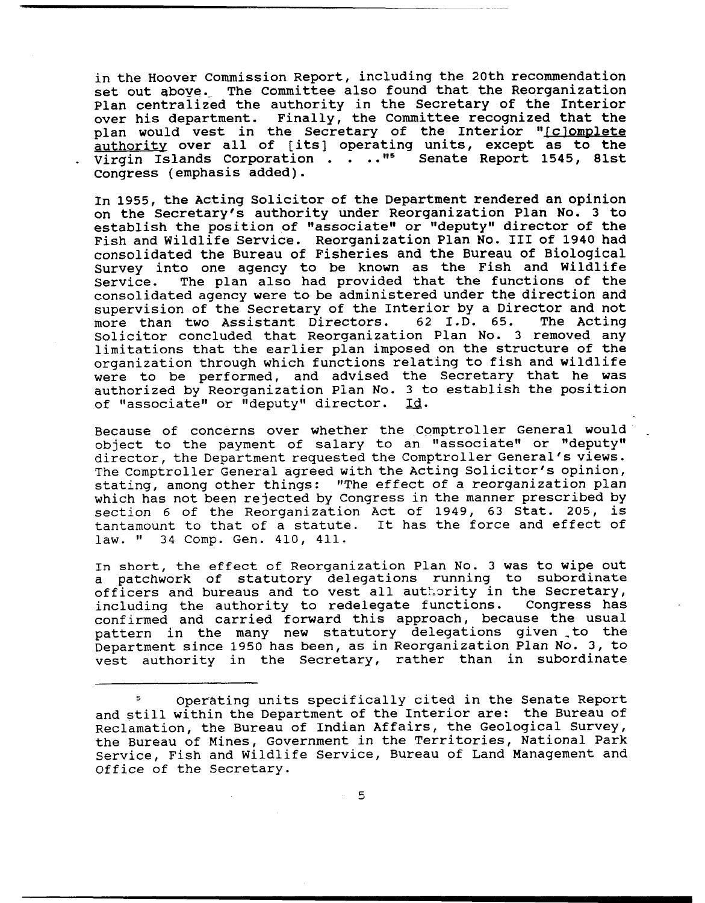in the Hoover Commission Report, including the 20th recommendation set out above. The Committee also found that the Reorganization Plan centralized the authority in the Secretary of the Interior over his department. Finally, the Committee recognized that the plan would vest in the Secretary of the Interior " $\mathfrak l$ authority over all of [its] operating units, except as to the Virgin Islands Corporation . . .."<sup>5</sup> Senate Report 1545, 81st Congress (emphasis added).

In 1955, the Acting Solicitor of the Department rendered an opinion on the Secretary's authority under Reorganization Plan No. 3 to establish the position of "associate" or "deputy" director of the Fish and Wildlife Service. Reorganization Plan No. I11 of 1940 had consolidated the Bureau of Fisheries and the Bureau of Biological Survey into one agency to be known as the Fish and Wildlife<br>Service. The plan also had provided that the functions of the The plan also had provided that the functions of the consolidated agency were to be administered under the direction and supervision of the Secretary of the Interior by a Director and not<br>more than two Assistant Directors. 62 I.D. 65. The Acting more than two Assistant Directors. Solicitor concluded that Reorganization Plan No. 3 removed any limitations that the earlier plan imposed on the structure of the organization through which functions relating to fish and wildlife were to be performed, and advised the Secretary that he was authorized by Reorganization Plan No. 3 to establish the position of "associate" or "deputy" director. Id.

Because of concerns over whether the Comptroller General would object to the payment of salary to an "associate" or "deputy" director, the Department requested the Comptroller General's views. The Comptroller General agreed with the Acting Solicitor's opinion, stating, among other things: "The effect of a reorganization plan which has not been rejected by Congress in the manner prescribed by section 6 of the Reorganization Act of 1949, 63 Stat. 205, is tantamount to that of a statute. It has the force and effect of law. " 34 Comp. Gen. 410, 411. 34 Comp. Gen. 410, 411.

**In short, the effect of** Reorganization Plan No. 3 was to wipe out a patchwork of statutory delegations running to subordinate officers and bureaus and to vest all authority in the Secretary,<br>including the authority to redelegate functions. Congress has including the authority to redelegate functions. confirmed and carried forward this approach, because the usual pattern in the many new statutory delegations given \_to the Department since 1950 has been, as in Reorganization Plan No. 3, to vest authority in the Secretary, rather than in subordinate

**<sup>5</sup>**Operating units specifically cited in the Senate Report and still within the Department of the Interior are: the Bureau of Reclamation, the Bureau of Indian Affairs, the Geological Survey, the Bureau of Mines, Government in the Territories, National Park Service, Fish and Wildlife Service, Bureau of Land Management and Office of the Secretary.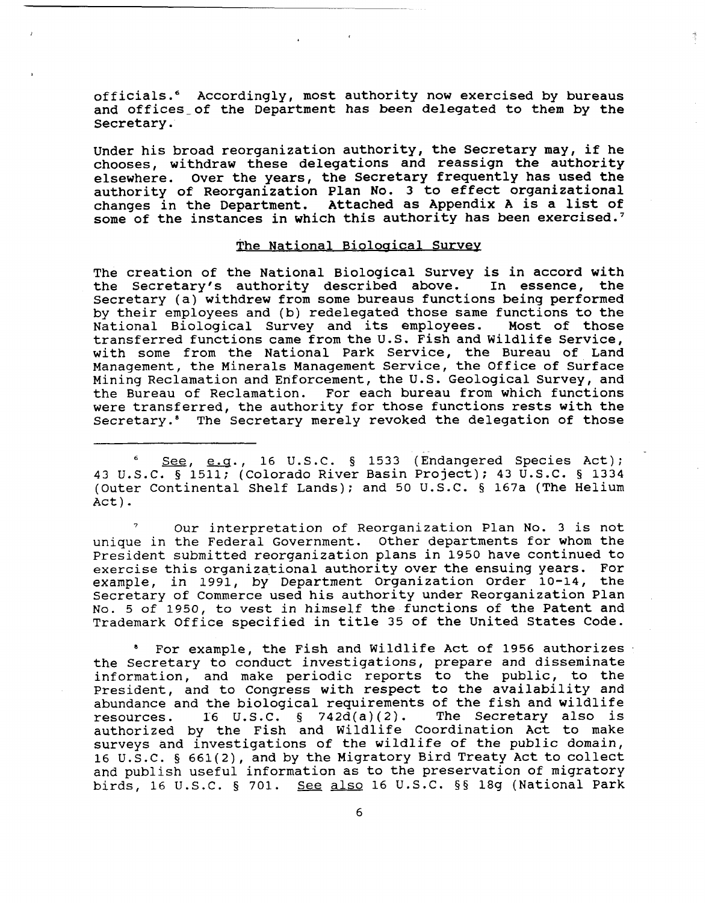officials." Accordingly, most authority now exercised by bureaus and offices-of the Department has been delegated to them by the Secretary.

Under his broad reorganization authority, the Secretary may, if he chooses, withdraw these delegations and reassign the authority elsewhere. Over the years, the Secretary frequently has used the authority of Reorganization Plan No. 3 to effect organizational changes in the Department. Attached as Appendix A is a list of some of the instances in which this authority has been exercised.'

#### The National Biological Survey

The creation of the National Biological Survey is in accord with<br>the Secretary's authority described above. In essence, the the Secretary's authority described above. Secretary (a) withdrew from some bureaus functions being performed by their employees and (b) redelegated those same functions to the National Biological Survey and its employees. Most of those National Biological Survey and its employees. transferred functions came fromthe U.S. Fish and Wildlife Service, with some from the National Park Service, the Bureau of Land Management, the Minerals Management Service, the Office of Surface Mining Reclamation and Enforcement, the U.S. Geological Survey, and the Bureau of Reclamation. For each bureau from which functions were transferred, the authority for those functions rests with the Secretary." The Secretary merely revoked the delegation of those

See, e.g., 16 U.S.C. § 1533 (Endangered Species Act); 43 U.S.C. § 1511; (Colorado River Basin Project); 43 U.S.C. **5** 1334 (Outer Continental Shelf Lands); and 50 U.S.C. § 167a (The Helium Act).

**<sup>7</sup>**Our interpretation of Reorganization Plan No. 3 is not unique in the Federal Government. Other departments for whom the President submitted reorganization plans in 1950 have continued to exercise this organizational authority over the ensuing years. For example, in 1991, by Department Organization Order 10-14, the Secretary of Commerce used his authority under Reorganization Plan No. 5 of 1950, to vest in himself the functions of the Patent and Trademark Office specified in title 35 of the United States Code.

For example, the Fish and Wildlife Act of 1956 authorizes  $\bullet$ the Secretary to conduct investigations, prepare and disseminate information, and make periodic reports to the public, to the President, and to Congress with respect to the availability and abundance and the biological requirements of the fish and wildlife resources. I6 U.S.C. § 742d(a)(2). The Secretary also is authorized by the Fish and Wildlife Coordination Act to make surveys and investigations of the wildlife of the public domain, 16 U.S .C. **5** 661 **(2),** and by the Migratory Bird Treaty Act to collect and publish useful information as to the preservation of migratory birds, 16 U.S.C. **5** 701. See also 16 U.S.C. **55** 18g (National Park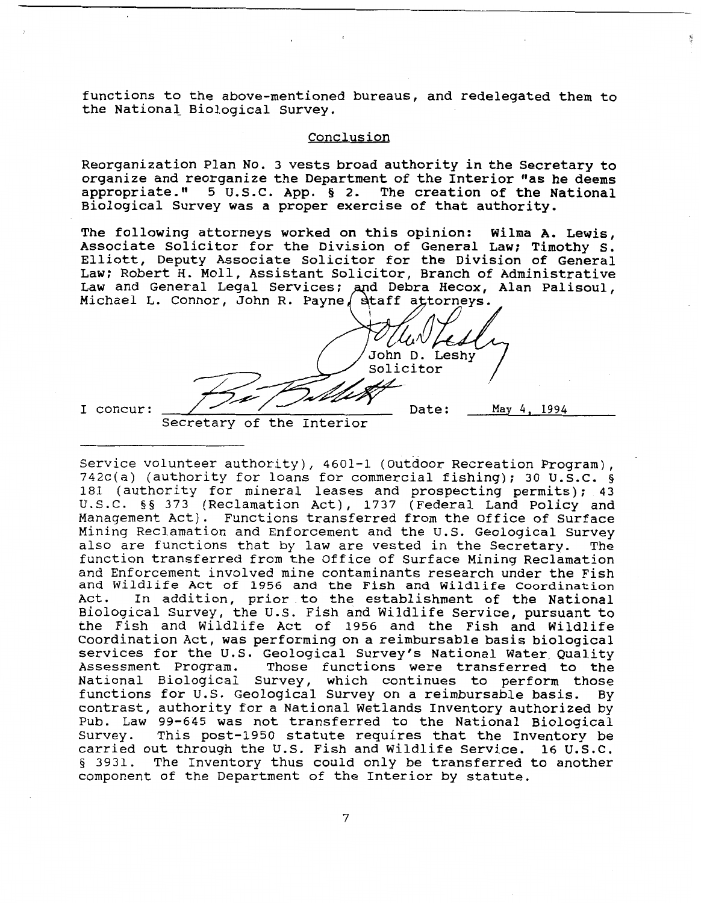functions to the above-mentioned bureaus, and redelegated them to the National Biological Survey.

#### Conclusion

Reorganization Plan No. 3 vests broad authority in the Secretary to organize and reorganize the Department of the Interior "as he deems appropriate." 5 U.S.C. App. *5* 2. The creation of the National Biological Survey was a proper exercise of that authority.

The following attorneys worked on this opinion: Wilma A. Lewis, Associate Solicitor for the Division of General Law; Timothy S. Elliott, Deputy Associate Solicitor for the Division of General Law; Robert H. Moll, Assistant Solicitor, Branch of Administrative Law and General Legal Services; and Debra Hecox, Alan Palisoul, Michael L. Connor, John R. Payne dtaff attorneys.

al Legal Services; and Debra Hecox, Alanor, John R. Payne Staff attorneys.<br>
John D. Leshy<br>
Solicitor<br>
Solicitor<br>
Pate: May<br>
Pate: May  $\frac{1}{\sqrt{2}}$ concur: <del>July</del> Date: May 4, 1994

Secretary of the Interior Service volunteer authority), 4601-1 (Outdoor Recreation Program), 742c(a) (authority for loans for commercial fishing); 30 U.S.C. **9**  181 (authority for mineral leases and prospecting permits); 43 U.S.C. §§ 373 (Reclamation Act), 1737 (Federal Land Policy and Management Act). Functions transferred from the Office of Surface Mining Reclamation and Enforcement and the U.S. Geological Survey also are functions that by law are vested in the Secretary. The function transferred from the Office of Surface Mining Reclamation and Enforcement involved mine contaminants research under the Fish and Wildlife Act **of** 1956 and the Fish and Wildlife Coordination Act. In addition, prior to the establishment of the National Biological Survey, the U.S. Fish and Wildlife Service, pursuant to the Fish and Wildlife Act of 1956 and the Fish and Wildlife Coordination Act, was performing on a reimbursable basis biological services for the U.S. Geological Survey's National Water. Quality Assessment Program. Those functions were transferred to the Essessment resylant these randerens were cransferred to the<br>ational Biological Survey, which continues to perform those functions for U.S. Geological Survey on a reimbursable basis. By contrast, authority for a National Wetlands Inventory authorized by Pub. Law 99-645 was not transferred to the National Biological Survey. This post-1950 statute requires that the Inventory be carried out through the U.S. Fish and Wildlife Service. 16 U.S.C. **<sup>5</sup>**3931. The Inventory thus could only be transferred to another component of the Department of the Interior by statute.